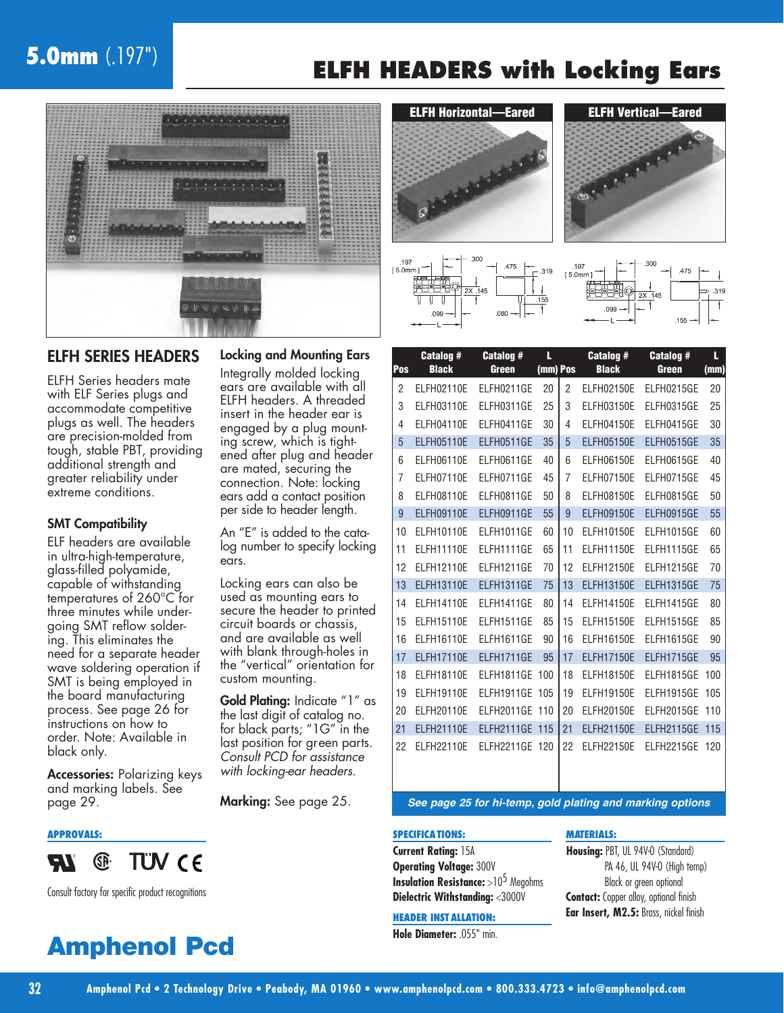# **5.0mm** (.197")

# **ELFH HEADERS with Locking Ears**



#### ELFH SERIES HEADERS

ELFH Series headers mate with ELF Series plugs and accommodate competitive plugs as well. The headers are precision-molded from tough, stable PBT, providing additional strength and greater reliability under extreme conditions.

#### SMT Compatibility

ELF headers are available in ultra-high-temperature, glass-filled polyamide, capable of withstanding temperatures of 260°C for three minutes while undergoing SMT reflow soldering. This eliminates the need for a separate header wave soldering operation if SMT is being employed in the board manufacturing process. See page 26 for instructions on how to order. Note: Available in black only.

Accessories: Polarizing keys and marking labels. See

#### **APPROVALS:**



Consult factory for specific product recognitions

# **Amphenol Pcd**

#### Locking and Mounting Ears

Integrally molded locking ears are available with all ELFH headers. A threaded insert in the header ear is engaged by a plug mounting screw, which is tightened after plug and header are mated, securing the connection. Note: locking ears add a contact position per side to header length.

An "E" is added to the catalog number to specify locking ears.

Locking ears can also be used as mounting ears to secure the header to printed circuit boards or chassis, and are available as well with blank through-holes in the "vertical" orientation for custom mounting.

Gold Plating: Indicate "1" as the last digit of catalog no. for black parts; "1G" in the last position for green parts. Consult PCD for assistance with locking-ear headers.

Marking: See page 25.









| Pos | <b>Catalog#</b><br><b>Black</b> | <b>Catalog#</b><br>Green | L<br>(mm) Pos |                | <b>Catalog#</b><br><b>Black</b> | <b>Catalog#</b><br>Green | L<br>(mm) |
|-----|---------------------------------|--------------------------|---------------|----------------|---------------------------------|--------------------------|-----------|
| 2   | <b>ELFH02110E</b>               | ELFH0211GE               | 20            | 2              | <b>ELFH02150E</b>               | ELFH0215GE               | 20        |
| 3   | <b>ELFH03110E</b>               | ELFH0311GE               | 25            | 3              | <b>ELFH03150E</b>               | ELFH0315GE               | 25        |
| 4   | <b>ELFH04110E</b>               | ELFH0411GE               | 30            | 4              | <b>ELFH04150E</b>               | ELFH0415GE               | 30        |
| 5   | <b>ELFH05110E</b>               | ELFH0511GE               | 35            | 5              | <b>ELFH05150E</b>               | ELFH0515GE               | 35        |
| 6   | <b>ELFH06110E</b>               | ELFH0611GE               | 40            | 6              | <b>ELFH06150E</b>               | ELFH0615GE               | 40        |
| 7   | <b>ELFH07110E</b>               | ELFH0711GE               | 45            | $\overline{7}$ | <b>ELFH07150E</b>               | ELFH0715GE               | 45        |
| 8   | <b>ELFH08110E</b>               | ELFH0811GE               | 50            | 8              | <b>ELFH08150E</b>               | ELFH0815GE               | 50        |
| 9   | <b>ELFH09110E</b>               | ELFH0911GE               | 55            | 9              | <b>ELFH09150E</b>               | ELFH0915GE               | 55        |
| 10  | <b>ELFH10110E</b>               | ELFH1011GE               | 60            | 10             | <b>ELFH10150E</b>               | ELFH1015GE               | 60        |
| 11  | <b>ELFH11110E</b>               | ELFH1111GE               | 65            | 11             | <b>ELFH11150E</b>               | ELFH1115GE               | 65        |
| 12  | <b>ELFH12110E</b>               | ELFH1211GE               | 70            | 12             | <b>ELFH12150E</b>               | ELFH1215GE               | 70        |
| 13  | <b>ELFH13110E</b>               | ELFH1311GE               | 75            | 13             | <b>ELFH13150E</b>               | ELFH1315GE               | 75        |
| 14  | <b>ELFH14110E</b>               | ELFH1411GE               | 80            | 14             | <b>ELFH14150E</b>               | ELFH1415GE               | 80        |
| 15  | <b>ELFH15110E</b>               | ELFH1511GE               | 85            | 15             | <b>ELFH15150E</b>               | ELFH1515GE               | 85        |
| 16  | ELFH16110E                      | ELFH1611GE               | 90            | 16             | <b>ELFH16150E</b>               | ELFH1615GE               | 90        |
| 17  | <b>ELFH17110E</b>               | ELFH1711GE               | 95            | 17             | <b>ELFH17150E</b>               | ELFH1715GE               | 95        |
| 18  | <b>ELFH18110E</b>               | ELFH1811GE               | 100           | 18             | <b>ELFH18150E</b>               | ELFH1815GE               | 100       |
| 19  | <b>ELFH19110E</b>               | ELFH1911GE               | 105           | 19             | <b>ELFH19150E</b>               | ELFH1915GE               | 105       |
| 20  | <b>ELFH20110E</b>               | ELFH2011GE               | 110           | 20             | <b>ELFH20150E</b>               | ELFH2015GE               | 110       |
| 21  | <b>ELFH21110E</b>               | ELFH2111GE               | 115           | 21             | <b>ELFH21150E</b>               | ELFH2115GE               | 115       |
| 22  | <b>ELFH22110E</b>               | ELFH2211GE               | 120           | 22             | <b>ELFH22150E</b>               | ELFH2215GE               | 120       |

page 29. **See page 25 for hi-temp, gold plating and marking options**

#### **MATERIALS:**

**SPECIFICATIONS: Current Rating:** 15A **Operating Voltage:** 300V **Insulation Resistance:** >10<sup>5</sup> Megohms **Dielectric Withstanding:** <3000V

**Housing:** PBT, UL 94V-0 (Standard) PA 46, UL 94V-0 (High temp) Black or green optional **Contact:** Copper alloy, optional finish **Ear Insert, M2.5:** Brass, nickel finish

**HEADER INST ALLATION: Hole Diameter:** .055" min.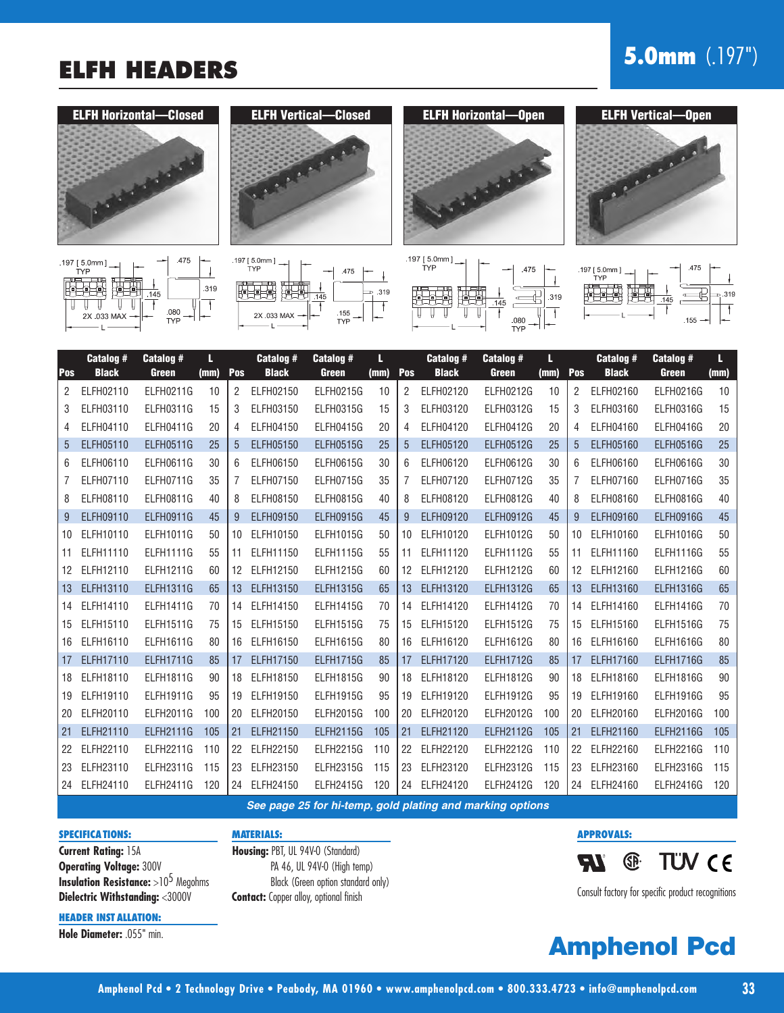# **ELFH HEADERS 5.0mm** (.197")



















| Pos               | Catalog #<br><b>Black</b> | Catalog #<br>Green | L<br>(mm) | Pos | Catalog #<br><b>Black</b> | <b>Catalog #</b><br>Green | L<br>(mm) | Pos | <b>Catalog #</b><br><b>Black</b> | Catalog #<br>Green | L<br>(mm) | Pos | Catalog #<br><b>Black</b> | <b>Catalog #</b><br>Green | L<br>(mm) |
|-------------------|---------------------------|--------------------|-----------|-----|---------------------------|---------------------------|-----------|-----|----------------------------------|--------------------|-----------|-----|---------------------------|---------------------------|-----------|
| 2                 | ELFH02110                 | ELFH0211G          | 10        | 2   | ELFH02150                 | <b>ELFH0215G</b>          | 10        | 2   | ELFH02120                        | <b>ELFH0212G</b>   | 10        | 2   | ELFH02160                 | <b>ELFH0216G</b>          | 10        |
| 3                 | ELFH03110                 | <b>ELFH0311G</b>   | 15        | 3   | ELFH03150                 | <b>ELFH0315G</b>          | 15        | 3   | ELFH03120                        | <b>ELFH0312G</b>   | 15        | 3   | ELFH03160                 | ELFH0316G                 | 15        |
| 4                 | ELFH04110                 | ELFH0411G          | 20        | 4   | ELFH04150                 | ELFH0415G                 | 20        | 4   | ELFH04120                        | <b>ELFH0412G</b>   | 20        | 4   | ELFH04160                 | ELFH0416G                 | 20        |
| $5\overline{)}$   | ELFH05110                 | <b>ELFH0511G</b>   | 25        | 5   | <b>ELFH05150</b>          | <b>ELFH0515G</b>          | 25        | 5   | ELFH05120                        | <b>ELFH0512G</b>   | 25        | 5   | ELFH05160                 | ELFH0516G                 | 25        |
| 6                 | ELFH06110                 | <b>ELFH0611G</b>   | 30        | 6   | ELFH06150                 | <b>ELFH0615G</b>          | 30        | 6   | ELFH06120                        | <b>ELFH0612G</b>   | 30        | 6   | ELFH06160                 | ELFH0616G                 | 30        |
| 7                 | ELFH07110                 | ELFH0711G          | 35        | 7   | ELFH07150                 | ELFH0715G                 | 35        | 7   | ELFH07120                        | ELFH0712G          | 35        | 7   | ELFH07160                 | ELFH0716G                 | 35        |
| 8                 | ELFH08110                 | <b>ELFH0811G</b>   | 40        | 8   | ELFH08150                 | ELFH0815G                 | 40        | 8   | ELFH08120                        | <b>ELFH0812G</b>   | 40        | 8   | ELFH08160                 | ELFH0816G                 | 40        |
| 9                 | ELFH09110                 | <b>ELFH0911G</b>   | 45        | 9   | ELFH09150                 | <b>ELFH0915G</b>          | 45        | 9   | ELFH09120                        | <b>ELFH0912G</b>   | 45        | 9   | ELFH09160                 | ELFH0916G                 | 45        |
| 10                | ELFH10110                 | <b>ELFH1011G</b>   | 50        | 10  | ELFH10150                 | <b>ELFH1015G</b>          | 50        | 10  | ELFH10120                        | ELFH1012G          | 50        | 10  | ELFH10160                 | ELFH1016G                 | 50        |
| 11                | ELFH11110                 | <b>ELFH1111G</b>   | 55        | 11  | ELFH11150                 | <b>ELFH1115G</b>          | 55        | 11  | ELFH11120                        | <b>ELFH1112G</b>   | 55        | 11  | ELFH11160                 | <b>ELFH1116G</b>          | 55        |
| $12 \overline{ }$ | ELFH12110                 | <b>ELFH1211G</b>   | 60        | 12  | ELFH12150                 | <b>ELFH1215G</b>          | 60        | 12  | ELFH12120                        | <b>ELFH1212G</b>   | 60        | 12  | ELFH12160                 | <b>ELFH1216G</b>          | 60        |
| 13                | ELFH13110                 | <b>ELFH1311G</b>   | 65        | 13  | ELFH13150                 | <b>ELFH1315G</b>          | 65        | 13  | ELFH13120                        | <b>ELFH1312G</b>   | 65        | 13  | ELFH13160                 | <b>ELFH1316G</b>          | 65        |
| 14                | ELFH14110                 | <b>ELFH1411G</b>   | 70        | 14  | ELFH14150                 | <b>ELFH1415G</b>          | 70        | 14  | ELFH14120                        | <b>ELFH1412G</b>   | 70        | 14  | ELFH14160                 | <b>ELFH1416G</b>          | 70        |
| 15                | ELFH15110                 | <b>ELFH1511G</b>   | 75        | 15  | ELFH15150                 | <b>ELFH1515G</b>          | 75        | 15  | ELFH15120                        | <b>ELFH1512G</b>   | 75        | 15  | ELFH15160                 | <b>ELFH1516G</b>          | 75        |
| 16                | ELFH16110                 | <b>ELFH1611G</b>   | 80        | 16  | ELFH16150                 | <b>ELFH1615G</b>          | 80        | 16  | ELFH16120                        | <b>ELFH1612G</b>   | 80        | 16  | ELFH16160                 | <b>ELFH1616G</b>          | 80        |
| 17                | ELFH17110                 | <b>ELFH1711G</b>   | 85        | 17  | ELFH17150                 | <b>ELFH1715G</b>          | 85        | 17  | ELFH17120                        | <b>ELFH1712G</b>   | 85        | 17  | ELFH17160                 | <b>ELFH1716G</b>          | 85        |
| 18                | ELFH18110                 | <b>ELFH1811G</b>   | 90        | 18  | ELFH18150                 | <b>ELFH1815G</b>          | 90        | 18  | ELFH18120                        | <b>ELFH1812G</b>   | 90        | 18  | ELFH18160                 | ELFH1816G                 | 90        |
| 19                | ELFH19110                 | <b>ELFH1911G</b>   | 95        | 19  | ELFH19150                 | <b>ELFH1915G</b>          | 95        | 19  | ELFH19120                        | <b>ELFH1912G</b>   | 95        | 19  | ELFH19160                 | ELFH1916G                 | 95        |
| 20                | ELFH20110                 | <b>ELFH2011G</b>   | 100       | 20  | ELFH20150                 | <b>ELFH2015G</b>          | 100       | 20  | ELFH20120                        | <b>ELFH2012G</b>   | 100       | 20  | ELFH20160                 | <b>ELFH2016G</b>          | 100       |
| 21                | ELFH21110                 | <b>ELFH2111G</b>   | 105       | 21  | ELFH21150                 | <b>ELFH2115G</b>          | 105       | 21  | ELFH21120                        | <b>ELFH2112G</b>   | 105       | 21  | ELFH21160                 | <b>ELFH2116G</b>          | 105       |
| 22                | ELFH22110                 | <b>ELFH2211G</b>   | 110       | 22  | ELFH22150                 | <b>ELFH2215G</b>          | 110       | 22  | ELFH22120                        | <b>ELFH2212G</b>   | 110       | 22  | ELFH22160                 | <b>ELFH2216G</b>          | 110       |
| 23                | ELFH23110                 | <b>ELFH2311G</b>   | 115       | 23  | ELFH23150                 | <b>ELFH2315G</b>          | 115       | 23  | ELFH23120                        | <b>ELFH2312G</b>   | 115       | 23  | ELFH23160                 | <b>ELFH2316G</b>          | 115       |
|                   | 24 ELFH24110              | <b>ELFH2411G</b>   | 120       | 24  | ELFH24150                 | <b>ELFH2415G</b>          | 120       |     | 24 ELFH24120                     | <b>ELFH2412G</b>   | 120       | 24  | ELFH24160                 | <b>ELFH2416G</b>          | 120       |

**See page 25 for hi-temp, gold plating and marking options**

#### **SPECIFICATIONS:**

**Current Rating:** 15A **Operating Voltage:** 300V **Insulation Resistance:** >10<sup>5</sup> Megohms **Dielectric Withstanding:** <3000V

**HEADER INST ALLATION:**

**Hole Diameter:** .055" min.

**Housing:** PBT, UL 94V-0 (Standard) PA 46, UL 94V-0 (High temp) Black (Green option standard only) **Contact:** Copper alloy, optional finish

**MATERIALS:**

**APPROVALS:**



Consult factory for specific product recognitions

# **Amphenol Pcd**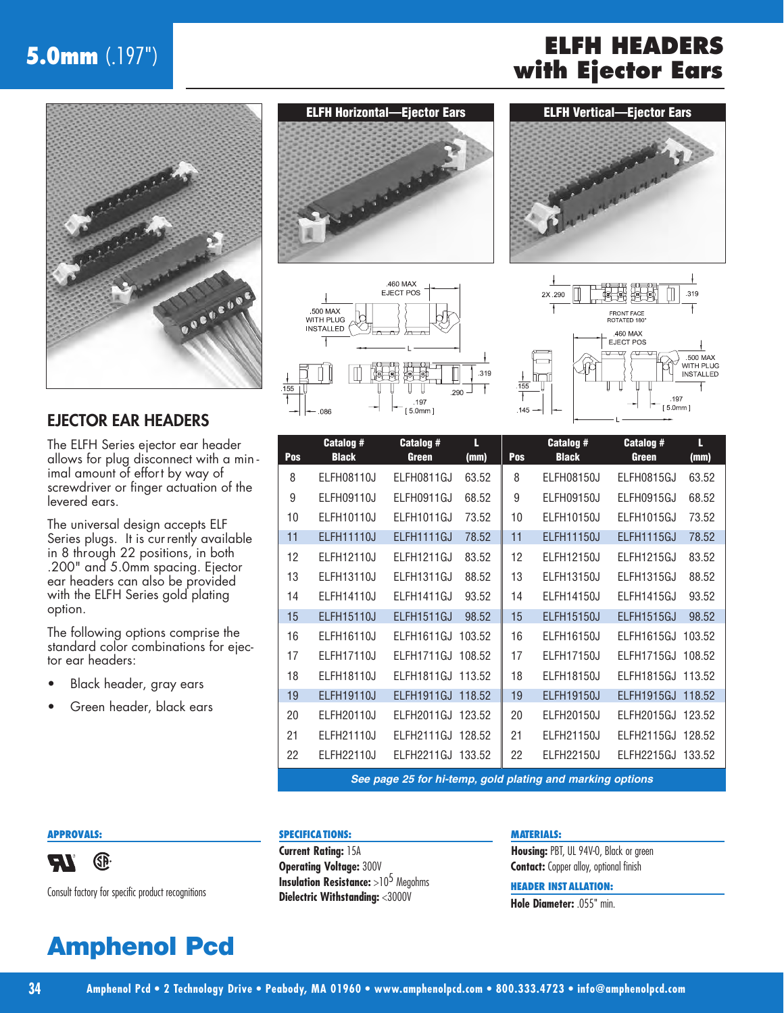# **5.0mm** (.197") **ELFH HEADERS**



### EJECTOR EAR HEADERS

The ELFH Series ejector ear header allows for plug disconnect with a min imal amount of effort by way of screwdriver or finger actuation of the levered ears.

The universal design accepts ELF Series plugs. It is currently available in 8 through 22 positions, in both .200" and 5.0mm spacing. Ejector ear headers can also be provided with the ELFH Series gold plating option.

The following options comprise the standard color combinations for ejector ear headers:

- Black header, gray ears
- Green header, black ears









| Pos | Catalog #<br><b>Black</b> | <b>Catalog #</b><br><b>Green</b> | L<br>(mm) | Pos | Catalog #<br><b>Black</b> | Catalog #<br><b>Green</b> | L<br>(mm) |
|-----|---------------------------|----------------------------------|-----------|-----|---------------------------|---------------------------|-----------|
| 8   | <b>ELFH08110J</b>         | ELFH0811GJ                       | 63.52     | 8   | <b>ELFH08150J</b>         | ELFH0815GJ                | 63.52     |
| 9   | ELFH09110J                | ELFH0911GJ                       | 68.52     | 9   | ELFH09150J                | ELFH0915GJ                | 68.52     |
| 10  | ELFH10110J                | ELFH1011GJ                       | 73.52     | 10  | ELFH10150J                | ELFH1015GJ                | 73.52     |
| 11  | <b>ELFH11110J</b>         | ELFH1111GJ                       | 78.52     | 11  | <b>ELFH11150J</b>         | ELFH1115GJ                | 78.52     |
| 12  | ELFH12110J                | ELFH1211GJ                       | 83.52     | 12  | <b>ELFH12150J</b>         | ELFH1215GJ                | 83.52     |
| 13  | ELFH13110J                | ELFH1311GJ                       | 88.52     | 13  | <b>ELFH13150J</b>         | ELFH1315GJ                | 88.52     |
| 14  | ELFH14110J                | ELFH1411GJ                       | 93.52     | 14  | ELFH14150J                | ELFH1415GJ                | 93.52     |
| 15  | <b>ELFH15110J</b>         | ELFH1511GJ                       | 98.52     | 15  | <b>ELFH15150J</b>         | ELFH1515GJ                | 98.52     |
| 16  | ELFH16110J                | ELFH1611GJ                       | 103.52    | 16  | ELFH16150J                | ELFH1615GJ                | 103.52    |
| 17  | <b>ELFH17110J</b>         | ELFH1711GJ                       | 108.52    | 17  | <b>ELFH17150J</b>         | ELFH1715GJ                | 108.52    |
| 18  | ELFH18110J                | ELFH1811GJ 113.52                |           | 18  | ELFH18150J                | ELFH1815GJ                | 113.52    |
| 19  | <b>ELFH19110J</b>         | ELFH1911GJ 118.52                |           | 19  | <b>ELFH19150J</b>         | ELFH1915GJ                | 118.52    |
| 20  | ELFH20110J                | ELFH2011GJ                       | 123.52    | 20  | <b>ELFH20150J</b>         | ELFH2015GJ                | 123.52    |
| 21  | ELFH21110J                | ELFH2111GJ                       | 128.52    | 21  | ELFH21150J                | ELFH2115GJ                | 128.52    |
| 22  | ELFH22110J                | ELFH2211GJ 133.52                |           | 22  | <b>ELFH22150J</b>         | ELFH2215GJ                | 133.52    |

**See page 25 for hi-temp, gold plating and marking options**

#### **APPROVALS:**



Consult factory for specific product recognitions

# **Amphenol Pcd**

#### **SPECIFICATIONS:**

**Current Rating:** 15A **Operating Voltage:** 300V **Insulation Resistance:** >10<sup>5</sup> Megohms **Dielectric Withstanding:** <3000V

#### **MATERIALS:**

**Housing:** PBT, UL 94V-0, Black or green **Contact:** Copper alloy, optional finish

#### **HEADER INST ALLATION:**

**Hole Diameter:** .055" min.